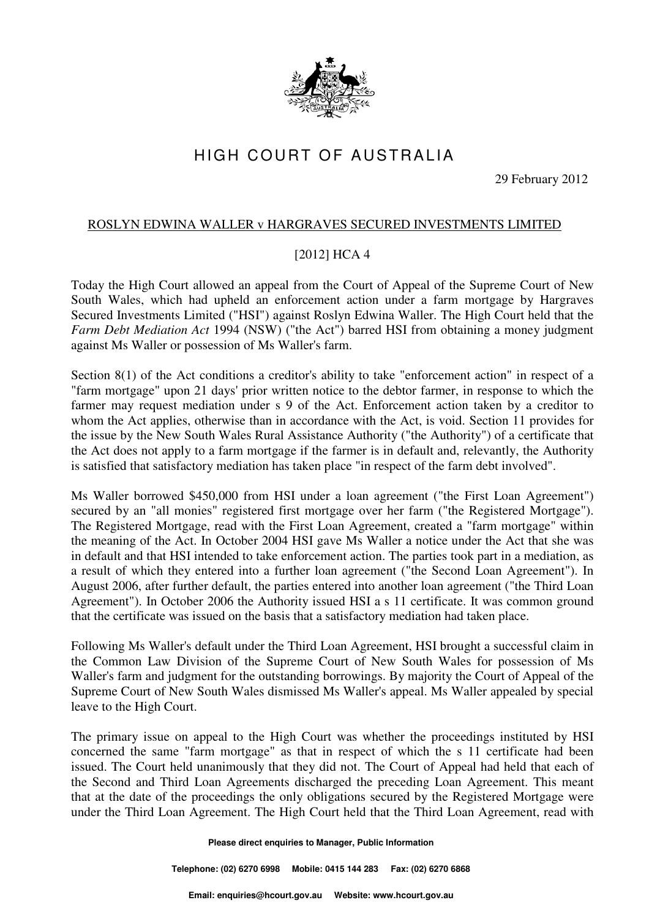

## HIGH COURT OF AUSTRALIA

29 February 2012

## ROSLYN EDWINA WALLER v HARGRAVES SECURED INVESTMENTS LIMITED

## [2012] HCA 4

Today the High Court allowed an appeal from the Court of Appeal of the Supreme Court of New South Wales, which had upheld an enforcement action under a farm mortgage by Hargraves Secured Investments Limited ("HSI") against Roslyn Edwina Waller. The High Court held that the *Farm Debt Mediation Act* 1994 (NSW) ("the Act") barred HSI from obtaining a money judgment against Ms Waller or possession of Ms Waller's farm.

Section 8(1) of the Act conditions a creditor's ability to take "enforcement action" in respect of a "farm mortgage" upon 21 days' prior written notice to the debtor farmer, in response to which the farmer may request mediation under s 9 of the Act. Enforcement action taken by a creditor to whom the Act applies, otherwise than in accordance with the Act, is void. Section 11 provides for the issue by the New South Wales Rural Assistance Authority ("the Authority") of a certificate that the Act does not apply to a farm mortgage if the farmer is in default and, relevantly, the Authority is satisfied that satisfactory mediation has taken place "in respect of the farm debt involved".

Ms Waller borrowed \$450,000 from HSI under a loan agreement ("the First Loan Agreement") secured by an "all monies" registered first mortgage over her farm ("the Registered Mortgage"). The Registered Mortgage, read with the First Loan Agreement, created a "farm mortgage" within the meaning of the Act. In October 2004 HSI gave Ms Waller a notice under the Act that she was in default and that HSI intended to take enforcement action. The parties took part in a mediation, as a result of which they entered into a further loan agreement ("the Second Loan Agreement"). In August 2006, after further default, the parties entered into another loan agreement ("the Third Loan Agreement"). In October 2006 the Authority issued HSI a s 11 certificate. It was common ground that the certificate was issued on the basis that a satisfactory mediation had taken place.

Following Ms Waller's default under the Third Loan Agreement, HSI brought a successful claim in the Common Law Division of the Supreme Court of New South Wales for possession of Ms Waller's farm and judgment for the outstanding borrowings. By majority the Court of Appeal of the Supreme Court of New South Wales dismissed Ms Waller's appeal. Ms Waller appealed by special leave to the High Court.

The primary issue on appeal to the High Court was whether the proceedings instituted by HSI concerned the same "farm mortgage" as that in respect of which the s 11 certificate had been issued. The Court held unanimously that they did not. The Court of Appeal had held that each of the Second and Third Loan Agreements discharged the preceding Loan Agreement. This meant that at the date of the proceedings the only obligations secured by the Registered Mortgage were under the Third Loan Agreement. The High Court held that the Third Loan Agreement, read with

**Please direct enquiries to Manager, Public Information** 

**Telephone: (02) 6270 6998 Mobile: 0415 144 283 Fax: (02) 6270 6868**